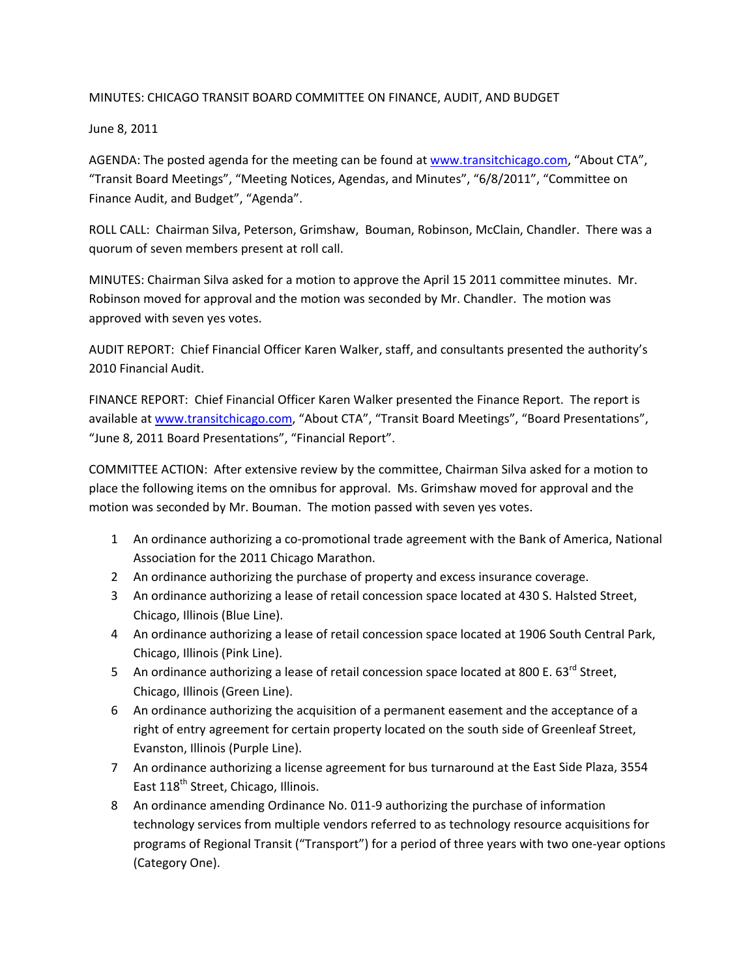## MINUTES: CHICAGO TRANSIT BOARD COMMITTEE ON FINANCE, AUDIT, AND BUDGET

June 8, 2011

AGENDA: The posted agenda for the meeting can be found at www.transitchicago.com, "About CTA", "Transit Board Meetings", "Meeting Notices, Agendas, and Minutes", "6/8/2011", "Committee on Finance Audit, and Budget", "Agenda".

ROLL CALL: Chairman Silva, Peterson, Grimshaw, Bouman, Robinson, McClain, Chandler. There was a quorum of seven members present at roll call.

MINUTES: Chairman Silva asked for a motion to approve the April 15 2011 committee minutes. Mr. Robinson moved for approval and the motion was seconded by Mr. Chandler. The motion was approved with seven yes votes.

AUDIT REPORT: Chief Financial Officer Karen Walker, staff, and consultants presented the authority's 2010 Financial Audit.

FINANCE REPORT: Chief Financial Officer Karen Walker presented the Finance Report. The report is available at www.transitchicago.com, "About CTA", "Transit Board Meetings", "Board Presentations", "June 8, 2011 Board Presentations", "Financial Report".

COMMITTEE ACTION: After extensive review by the committee, Chairman Silva asked for a motion to place the following items on the omnibus for approval. Ms. Grimshaw moved for approval and the motion was seconded by Mr. Bouman. The motion passed with seven yes votes.

- 1 An ordinance authorizing a co-promotional trade agreement with the Bank of America, National Association for the 2011 Chicago Marathon.
- 2 An ordinance authorizing the purchase of property and excess insurance coverage.
- 3 An ordinance authorizing a lease of retail concession space located at 430 S. Halsted Street, Chicago, Illinois (Blue Line).
- 4 An ordinance authorizing a lease of retail concession space located at 1906 South Central Park, Chicago, Illinois (Pink Line).
- 5 An ordinance authorizing a lease of retail concession space located at 800 E.  $63^{rd}$  Street, Chicago, Illinois (Green Line).
- 6 An ordinance authorizing the acquisition of a permanent easement and the acceptance of a right of entry agreement for certain property located on the south side of Greenleaf Street, Evanston, Illinois (Purple Line).
- 7 An ordinance authorizing a license agreement for bus turnaround at the East Side Plaza, 3554 East 118<sup>th</sup> Street, Chicago, Illinois.
- 8 An ordinance amending Ordinance No. 011‐9 authorizing the purchase of information technology services from multiple vendors referred to as technology resource acquisitions for programs of Regional Transit ("Transport") for a period of three years with two one‐year options (Category One).